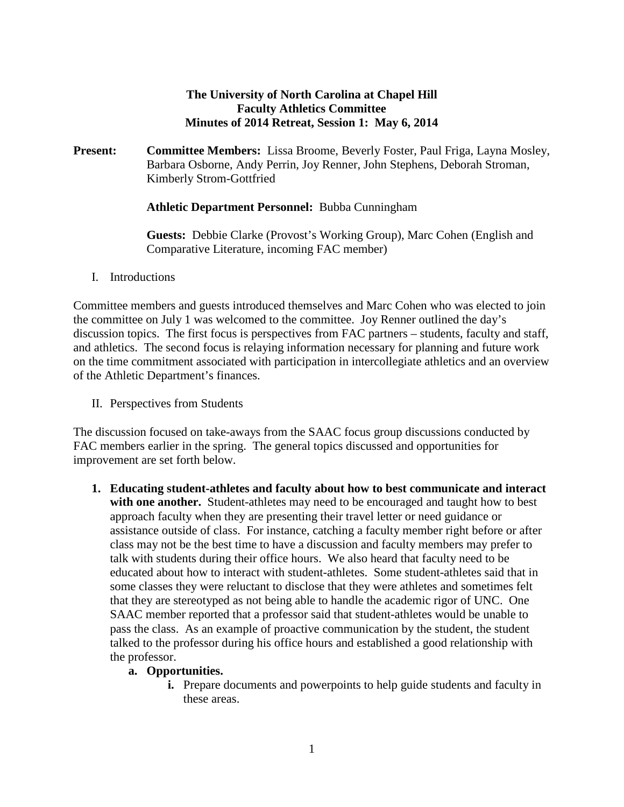#### **The University of North Carolina at Chapel Hill Faculty Athletics Committee Minutes of 2014 Retreat, Session 1: May 6, 2014**

**Present: Committee Members:** Lissa Broome, Beverly Foster, Paul Friga, Layna Mosley, Barbara Osborne, Andy Perrin, Joy Renner, John Stephens, Deborah Stroman, Kimberly Strom-Gottfried

#### **Athletic Department Personnel:** Bubba Cunningham

**Guests:** Debbie Clarke (Provost's Working Group), Marc Cohen (English and Comparative Literature, incoming FAC member)

#### I. Introductions

Committee members and guests introduced themselves and Marc Cohen who was elected to join the committee on July 1 was welcomed to the committee. Joy Renner outlined the day's discussion topics. The first focus is perspectives from FAC partners – students, faculty and staff, and athletics. The second focus is relaying information necessary for planning and future work on the time commitment associated with participation in intercollegiate athletics and an overview of the Athletic Department's finances.

II. Perspectives from Students

The discussion focused on take-aways from the SAAC focus group discussions conducted by FAC members earlier in the spring. The general topics discussed and opportunities for improvement are set forth below.

**1. Educating student-athletes and faculty about how to best communicate and interact**  with one another. Student-athletes may need to be encouraged and taught how to best approach faculty when they are presenting their travel letter or need guidance or assistance outside of class. For instance, catching a faculty member right before or after class may not be the best time to have a discussion and faculty members may prefer to talk with students during their office hours. We also heard that faculty need to be educated about how to interact with student-athletes. Some student-athletes said that in some classes they were reluctant to disclose that they were athletes and sometimes felt that they are stereotyped as not being able to handle the academic rigor of UNC. One SAAC member reported that a professor said that student-athletes would be unable to pass the class. As an example of proactive communication by the student, the student talked to the professor during his office hours and established a good relationship with the professor.

#### **a. Opportunities.**

**i.** Prepare documents and powerpoints to help guide students and faculty in these areas.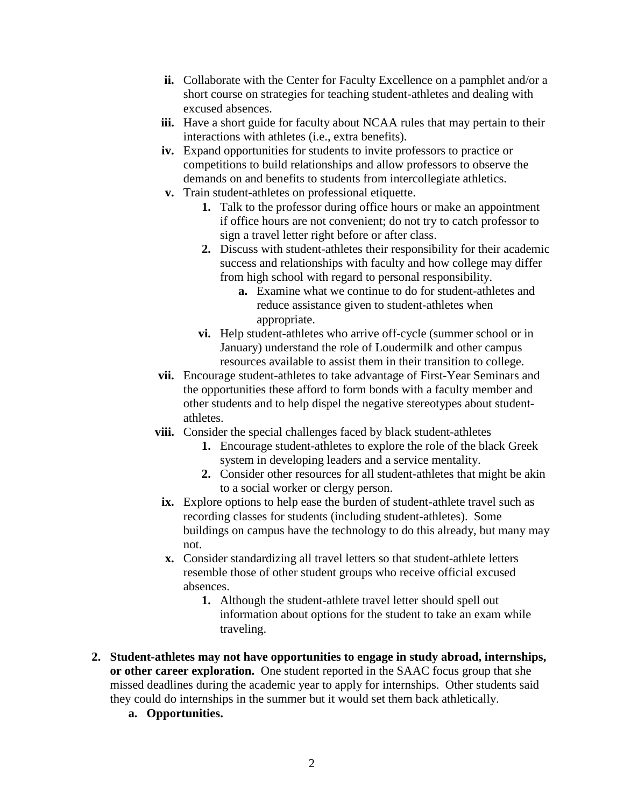- **ii.** Collaborate with the Center for Faculty Excellence on a pamphlet and/or a short course on strategies for teaching student-athletes and dealing with excused absences.
- iii. Have a short guide for faculty about NCAA rules that may pertain to their interactions with athletes (i.e., extra benefits).
- **iv.** Expand opportunities for students to invite professors to practice or competitions to build relationships and allow professors to observe the demands on and benefits to students from intercollegiate athletics.
- **v.** Train student-athletes on professional etiquette.
	- **1.** Talk to the professor during office hours or make an appointment if office hours are not convenient; do not try to catch professor to sign a travel letter right before or after class.
	- **2.** Discuss with student-athletes their responsibility for their academic success and relationships with faculty and how college may differ from high school with regard to personal responsibility.
		- **a.** Examine what we continue to do for student-athletes and reduce assistance given to student-athletes when appropriate.
	- **vi.** Help student-athletes who arrive off-cycle (summer school or in January) understand the role of Loudermilk and other campus resources available to assist them in their transition to college.
- **vii.** Encourage student-athletes to take advantage of First-Year Seminars and the opportunities these afford to form bonds with a faculty member and other students and to help dispel the negative stereotypes about studentathletes.
- **viii.** Consider the special challenges faced by black student-athletes
	- **1.** Encourage student-athletes to explore the role of the black Greek system in developing leaders and a service mentality.
	- **2.** Consider other resources for all student-athletes that might be akin to a social worker or clergy person.
	- **ix.** Explore options to help ease the burden of student-athlete travel such as recording classes for students (including student-athletes). Some buildings on campus have the technology to do this already, but many may not.
	- **x.** Consider standardizing all travel letters so that student-athlete letters resemble those of other student groups who receive official excused absences.
		- **1.** Although the student-athlete travel letter should spell out information about options for the student to take an exam while traveling.
- **2. Student-athletes may not have opportunities to engage in study abroad, internships, or other career exploration.** One student reported in the SAAC focus group that she missed deadlines during the academic year to apply for internships. Other students said they could do internships in the summer but it would set them back athletically.
	- **a. Opportunities.**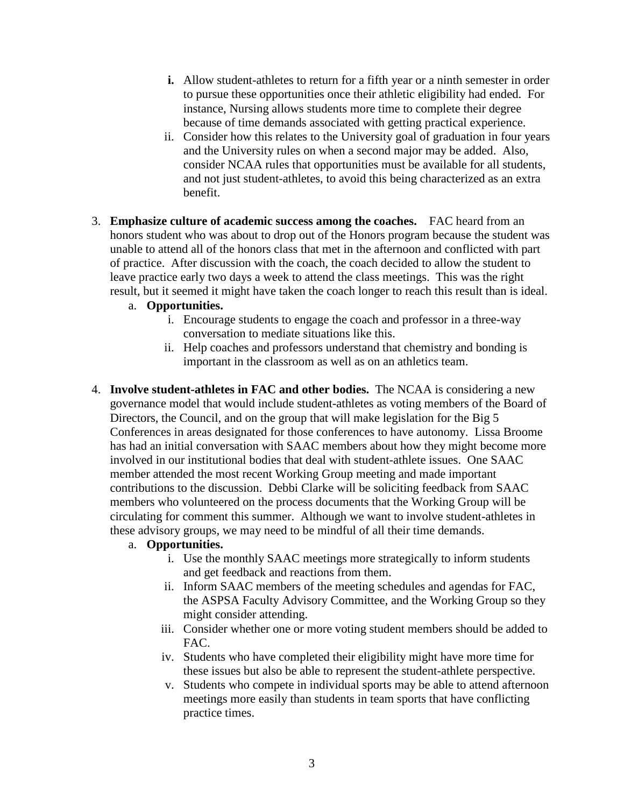- **i.** Allow student-athletes to return for a fifth year or a ninth semester in order to pursue these opportunities once their athletic eligibility had ended. For instance, Nursing allows students more time to complete their degree because of time demands associated with getting practical experience.
- ii. Consider how this relates to the University goal of graduation in four years and the University rules on when a second major may be added. Also, consider NCAA rules that opportunities must be available for all students, and not just student-athletes, to avoid this being characterized as an extra benefit.
- 3. **Emphasize culture of academic success among the coaches.** FAC heard from an honors student who was about to drop out of the Honors program because the student was unable to attend all of the honors class that met in the afternoon and conflicted with part of practice. After discussion with the coach, the coach decided to allow the student to leave practice early two days a week to attend the class meetings. This was the right result, but it seemed it might have taken the coach longer to reach this result than is ideal.
	- a. **Opportunities.**
		- i. Encourage students to engage the coach and professor in a three-way conversation to mediate situations like this.
		- ii. Help coaches and professors understand that chemistry and bonding is important in the classroom as well as on an athletics team.
- 4. **Involve student-athletes in FAC and other bodies.** The NCAA is considering a new governance model that would include student-athletes as voting members of the Board of Directors, the Council, and on the group that will make legislation for the Big 5 Conferences in areas designated for those conferences to have autonomy. Lissa Broome has had an initial conversation with SAAC members about how they might become more involved in our institutional bodies that deal with student-athlete issues. One SAAC member attended the most recent Working Group meeting and made important contributions to the discussion. Debbi Clarke will be soliciting feedback from SAAC members who volunteered on the process documents that the Working Group will be circulating for comment this summer. Although we want to involve student-athletes in these advisory groups, we may need to be mindful of all their time demands.

#### a. **Opportunities.**

- i. Use the monthly SAAC meetings more strategically to inform students and get feedback and reactions from them.
- ii. Inform SAAC members of the meeting schedules and agendas for FAC, the ASPSA Faculty Advisory Committee, and the Working Group so they might consider attending.
- iii. Consider whether one or more voting student members should be added to FAC.
- iv. Students who have completed their eligibility might have more time for these issues but also be able to represent the student-athlete perspective.
- v. Students who compete in individual sports may be able to attend afternoon meetings more easily than students in team sports that have conflicting practice times.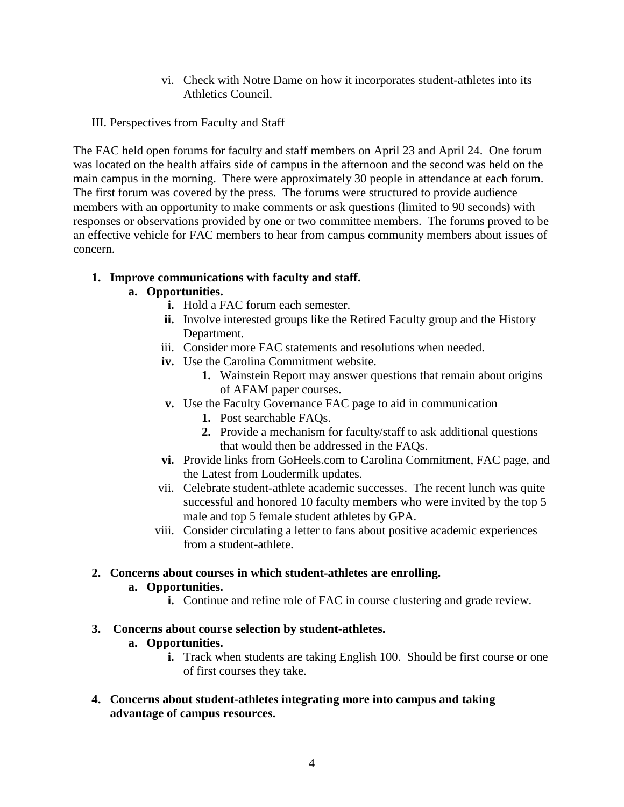- vi. Check with Notre Dame on how it incorporates student-athletes into its Athletics Council.
- III. Perspectives from Faculty and Staff

The FAC held open forums for faculty and staff members on April 23 and April 24. One forum was located on the health affairs side of campus in the afternoon and the second was held on the main campus in the morning. There were approximately 30 people in attendance at each forum. The first forum was covered by the press. The forums were structured to provide audience members with an opportunity to make comments or ask questions (limited to 90 seconds) with responses or observations provided by one or two committee members. The forums proved to be an effective vehicle for FAC members to hear from campus community members about issues of concern.

#### **1. Improve communications with faculty and staff.**

## **a. Opportunities.**

- **i.** Hold a FAC forum each semester.
- **ii.** Involve interested groups like the Retired Faculty group and the History Department.
- iii. Consider more FAC statements and resolutions when needed.
- **iv.** Use the Carolina Commitment website.
	- **1.** Wainstein Report may answer questions that remain about origins of AFAM paper courses.
- **v.** Use the Faculty Governance FAC page to aid in communication
	- **1.** Post searchable FAQs.
	- **2.** Provide a mechanism for faculty/staff to ask additional questions that would then be addressed in the FAQs.
- **vi.** Provide links from GoHeels.com to Carolina Commitment, FAC page, and the Latest from Loudermilk updates.
- vii. Celebrate student-athlete academic successes. The recent lunch was quite successful and honored 10 faculty members who were invited by the top 5 male and top 5 female student athletes by GPA.
- viii. Consider circulating a letter to fans about positive academic experiences from a student-athlete.

## **2. Concerns about courses in which student-athletes are enrolling.**

#### **a. Opportunities.**

**i.** Continue and refine role of FAC in course clustering and grade review.

#### **3. Concerns about course selection by student-athletes.**

## **a. Opportunities.**

**i.** Track when students are taking English 100. Should be first course or one of first courses they take.

## **4. Concerns about student-athletes integrating more into campus and taking advantage of campus resources.**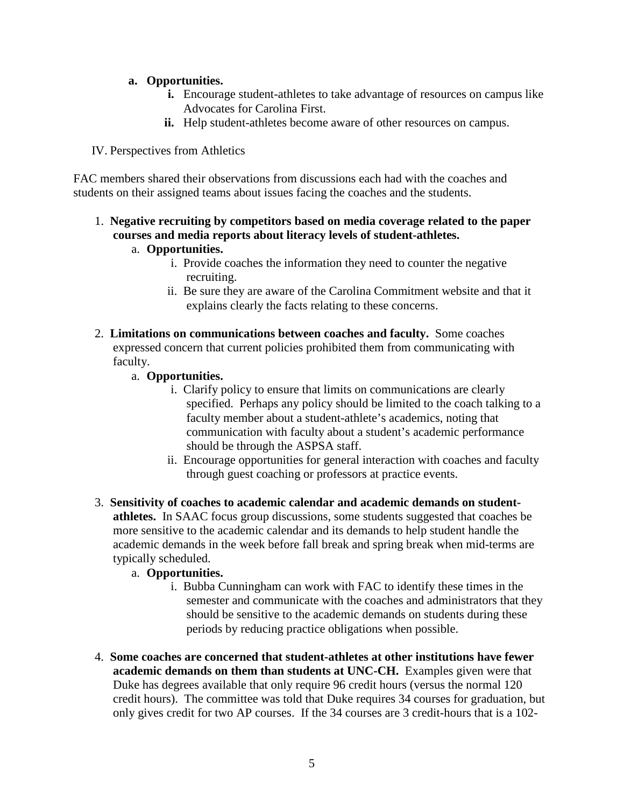## **a. Opportunities.**

- **i.** Encourage student-athletes to take advantage of resources on campus like Advocates for Carolina First.
- **ii.** Help student-athletes become aware of other resources on campus.

## IV. Perspectives from Athletics

FAC members shared their observations from discussions each had with the coaches and students on their assigned teams about issues facing the coaches and the students.

# 1. **Negative recruiting by competitors based on media coverage related to the paper courses and media reports about literacy levels of student-athletes.**

## a. **Opportunities.**

- i. Provide coaches the information they need to counter the negative recruiting.
- ii. Be sure they are aware of the Carolina Commitment website and that it explains clearly the facts relating to these concerns.
- 2. **Limitations on communications between coaches and faculty.** Some coaches expressed concern that current policies prohibited them from communicating with faculty.
	- a. **Opportunities.**
		- i. Clarify policy to ensure that limits on communications are clearly specified. Perhaps any policy should be limited to the coach talking to a faculty member about a student-athlete's academics, noting that communication with faculty about a student's academic performance should be through the ASPSA staff.
		- ii. Encourage opportunities for general interaction with coaches and faculty through guest coaching or professors at practice events.
- 3. **Sensitivity of coaches to academic calendar and academic demands on studentathletes.** In SAAC focus group discussions, some students suggested that coaches be more sensitive to the academic calendar and its demands to help student handle the academic demands in the week before fall break and spring break when mid-terms are typically scheduled.

## a. **Opportunities.**

- i. Bubba Cunningham can work with FAC to identify these times in the semester and communicate with the coaches and administrators that they should be sensitive to the academic demands on students during these periods by reducing practice obligations when possible.
- 4. **Some coaches are concerned that student-athletes at other institutions have fewer academic demands on them than students at UNC-CH.** Examples given were that Duke has degrees available that only require 96 credit hours (versus the normal 120 credit hours).The committee was told that Duke requires 34 courses for graduation, but only gives credit for two AP courses. If the 34 courses are 3 credit-hours that is a 102-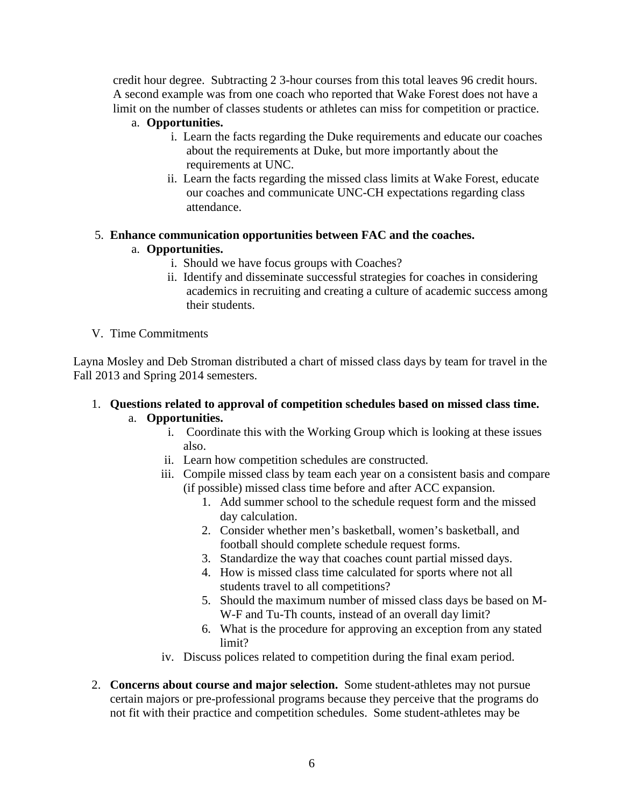credit hour degree. Subtracting 2 3-hour courses from this total leaves 96 credit hours. A second example was from one coach who reported that Wake Forest does not have a limit on the number of classes students or athletes can miss for competition or practice.

## a. **Opportunities.**

- i. Learn the facts regarding the Duke requirements and educate our coaches about the requirements at Duke, but more importantly about the requirements at UNC.
- ii. Learn the facts regarding the missed class limits at Wake Forest, educate our coaches and communicate UNC-CH expectations regarding class attendance.

# 5. **Enhance communication opportunities between FAC and the coaches.**

# a. **Opportunities.**

- i. Should we have focus groups with Coaches?
- ii. Identify and disseminate successful strategies for coaches in considering academics in recruiting and creating a culture of academic success among their students.

## V. Time Commitments

Layna Mosley and Deb Stroman distributed a chart of missed class days by team for travel in the Fall 2013 and Spring 2014 semesters.

## 1. **Questions related to approval of competition schedules based on missed class time.**  a. **Opportunities.**

- i. Coordinate this with the Working Group which is looking at these issues also.
- ii. Learn how competition schedules are constructed.
- iii. Compile missed class by team each year on a consistent basis and compare (if possible) missed class time before and after ACC expansion.
	- 1. Add summer school to the schedule request form and the missed day calculation.
	- 2. Consider whether men's basketball, women's basketball, and football should complete schedule request forms.
	- 3. Standardize the way that coaches count partial missed days.
	- 4. How is missed class time calculated for sports where not all students travel to all competitions?
	- 5. Should the maximum number of missed class days be based on M-W-F and Tu-Th counts, instead of an overall day limit?
	- 6. What is the procedure for approving an exception from any stated limit?
- iv. Discuss polices related to competition during the final exam period.
- 2. **Concerns about course and major selection.** Some student-athletes may not pursue certain majors or pre-professional programs because they perceive that the programs do not fit with their practice and competition schedules. Some student-athletes may be